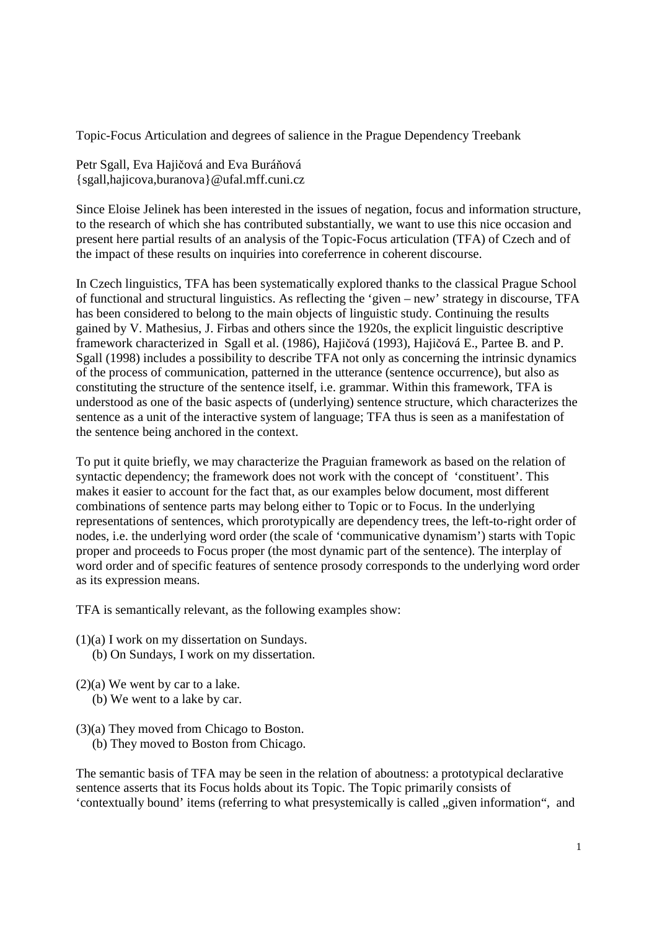Topic-Focus Articulation and degrees of salience in the Prague Dependency Treebank

Petr Sgall, Eva Hajičová and Eva Buráňová {sgall,hajicova,buranova}@ufal.mff.cuni.cz

Since Eloise Jelinek has been interested in the issues of negation, focus and information structure, to the research of which she has contributed substantially, we want to use this nice occasion and present here partial results of an analysis of the Topic-Focus articulation (TFA) of Czech and of the impact of these results on inquiries into coreferrence in coherent discourse.

In Czech linguistics, TFA has been systematically explored thanks to the classical Prague School of functional and structural linguistics. As reflecting the 'given – new' strategy in discourse, TFA has been considered to belong to the main objects of linguistic study. Continuing the results gained by V. Mathesius, J. Firbas and others since the 1920s, the explicit linguistic descriptive framework characterized in Sgall et al. (1986), Hajičová (1993), Hajičová E., Partee B. and P. Sgall (1998) includes a possibility to describe TFA not only as concerning the intrinsic dynamics of the process of communication, patterned in the utterance (sentence occurrence), but also as constituting the structure of the sentence itself, i.e. grammar. Within this framework, TFA is understood as one of the basic aspects of (underlying) sentence structure, which characterizes the sentence as a unit of the interactive system of language; TFA thus is seen as a manifestation of the sentence being anchored in the context.

To put it quite briefly, we may characterize the Praguian framework as based on the relation of syntactic dependency; the framework does not work with the concept of 'constituent'. This makes it easier to account for the fact that, as our examples below document, most different combinations of sentence parts may belong either to Topic or to Focus. In the underlying representations of sentences, which prorotypically are dependency trees, the left-to-right order of nodes, i.e. the underlying word order (the scale of 'communicative dynamism') starts with Topic proper and proceeds to Focus proper (the most dynamic part of the sentence). The interplay of word order and of specific features of sentence prosody corresponds to the underlying word order as its expression means.

TFA is semantically relevant, as the following examples show:

- (1)(a) I work on my dissertation on Sundays. (b) On Sundays, I work on my dissertation.
- (2)(a) We went by car to a lake. (b) We went to a lake by car.
- (3)(a) They moved from Chicago to Boston.
	- (b) They moved to Boston from Chicago.

The semantic basis of TFA may be seen in the relation of aboutness: a prototypical declarative sentence asserts that its Focus holds about its Topic. The Topic primarily consists of 'contextually bound' items (referring to what presystemically is called , given information", and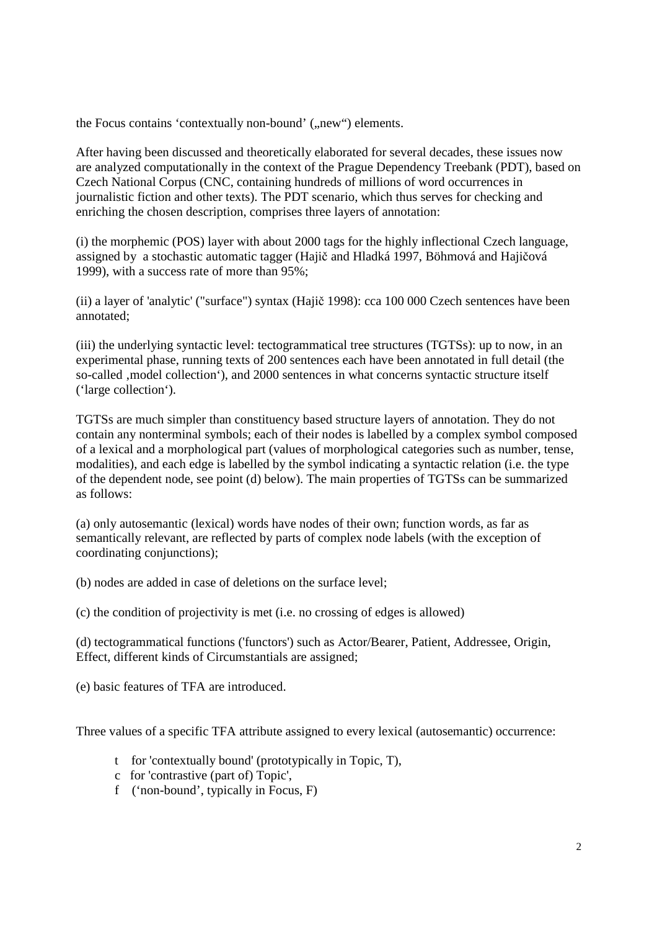the Focus contains 'contextually non-bound' ("new") elements.

After having been discussed and theoretically elaborated for several decades, these issues now are analyzed computationally in the context of the Prague Dependency Treebank (PDT), based on Czech National Corpus (CNC, containing hundreds of millions of word occurrences in journalistic fiction and other texts). The PDT scenario, which thus serves for checking and enriching the chosen description, comprises three layers of annotation:

(i) the morphemic (POS) layer with about 2000 tags for the highly inflectional Czech language, assigned by a stochastic automatic tagger (Hajič and Hladká 1997, Böhmová and Hajičová 1999), with a success rate of more than 95%;

(ii) a layer of 'analytic' ("surface") syntax (Hajič 1998): cca 100 000 Czech sentences have been annotated;

(iii) the underlying syntactic level: tectogrammatical tree structures (TGTSs): up to now, in an experimental phase, running texts of 200 sentences each have been annotated in full detail (the so-called , model collection'), and 2000 sentences in what concerns syntactic structure itself ('large collection').

TGTSs are much simpler than constituency based structure layers of annotation. They do not contain any nonterminal symbols; each of their nodes is labelled by a complex symbol composed of a lexical and a morphological part (values of morphological categories such as number, tense, modalities), and each edge is labelled by the symbol indicating a syntactic relation (i.e. the type of the dependent node, see point (d) below). The main properties of TGTSs can be summarized as follows:

(a) only autosemantic (lexical) words have nodes of their own; function words, as far as semantically relevant, are reflected by parts of complex node labels (with the exception of coordinating conjunctions);

(b) nodes are added in case of deletions on the surface level;

(c) the condition of projectivity is met (i.e. no crossing of edges is allowed)

(d) tectogrammatical functions ('functors') such as Actor/Bearer, Patient, Addressee, Origin, Effect, different kinds of Circumstantials are assigned;

(e) basic features of TFA are introduced.

Three values of a specific TFA attribute assigned to every lexical (autosemantic) occurrence:

- t for 'contextually bound' (prototypically in Topic, T),
- c for 'contrastive (part of) Topic',
- f ('non-bound', typically in Focus, F)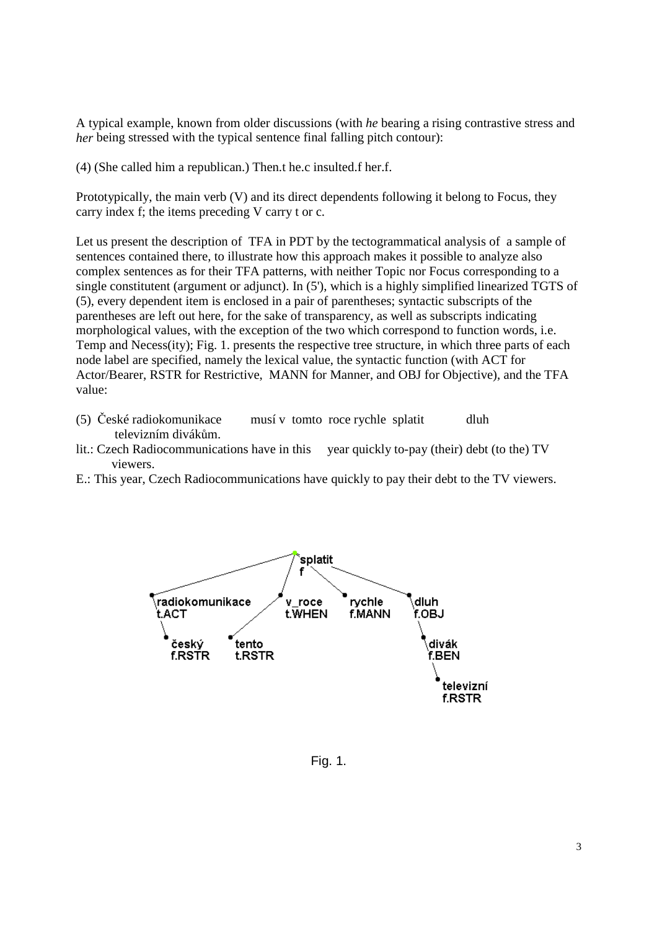A typical example, known from older discussions (with *he* bearing a rising contrastive stress and *her* being stressed with the typical sentence final falling pitch contour):

(4) (She called him a republican.) Then.t he.c insulted.f her.f.

Prototypically, the main verb (V) and its direct dependents following it belong to Focus, they carry index f; the items preceding V carry t or c.

Let us present the description of TFA in PDT by the tectogrammatical analysis of a sample of sentences contained there, to illustrate how this approach makes it possible to analyze also complex sentences as for their TFA patterns, with neither Topic nor Focus corresponding to a single constitutent (argument or adjunct). In (5'), which is a highly simplified linearized TGTS of (5), every dependent item is enclosed in a pair of parentheses; syntactic subscripts of the parentheses are left out here, for the sake of transparency, as well as subscripts indicating morphological values, with the exception of the two which correspond to function words, i.e. Temp and Necess(ity); Fig. 1. presents the respective tree structure, in which three parts of each node label are specified, namely the lexical value, the syntactic function (with ACT for Actor/Bearer, RSTR for Restrictive, MANN for Manner, and OBJ for Objective), and the TFA value:

- (5) České radiokomunikace musí v tomto roce rychle splatit dluh televizním divákům.
- lit.: Czech Radiocommunications have in this year quickly to-pay (their) debt (to the) TV viewers.
- E.: This year, Czech Radiocommunications have quickly to pay their debt to the TV viewers.



Fig. 1.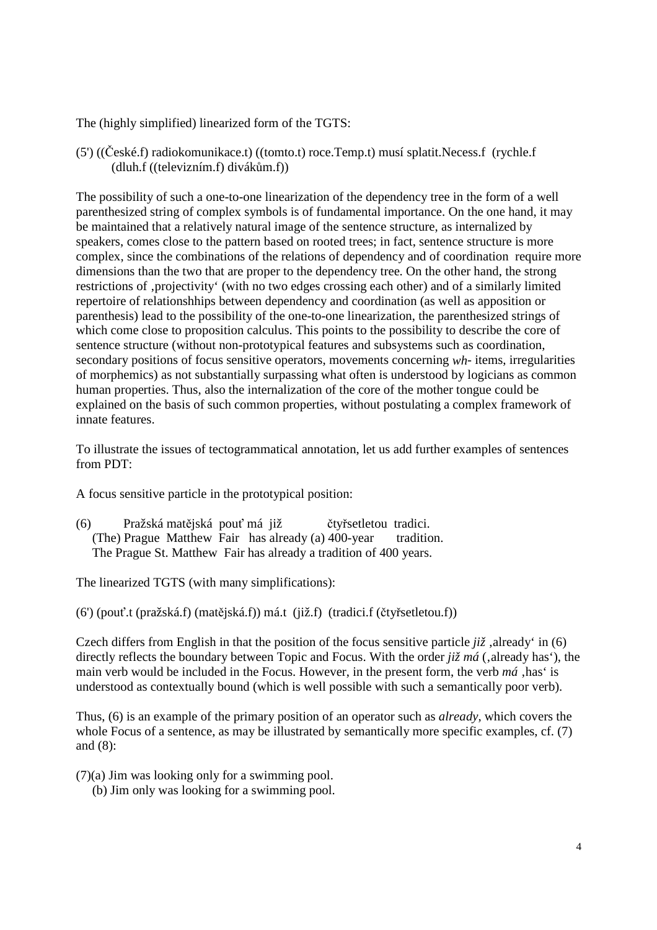The (highly simplified) linearized form of the TGTS:

(5') ((České.f) radiokomunikace.t) ((tomto.t) roce.Temp.t) musí splatit.Necess.f (rychle.f (dluh.f ((televizním.f) divákům.f))

The possibility of such a one-to-one linearization of the dependency tree in the form of a well parenthesized string of complex symbols is of fundamental importance. On the one hand, it may be maintained that a relatively natural image of the sentence structure, as internalized by speakers, comes close to the pattern based on rooted trees; in fact, sentence structure is more complex, since the combinations of the relations of dependency and of coordination require more dimensions than the two that are proper to the dependency tree. On the other hand, the strong restrictions of , projectivity' (with no two edges crossing each other) and of a similarly limited repertoire of relationshhips between dependency and coordination (as well as apposition or parenthesis) lead to the possibility of the one-to-one linearization, the parenthesized strings of which come close to proposition calculus. This points to the possibility to describe the core of sentence structure (without non-prototypical features and subsystems such as coordination, secondary positions of focus sensitive operators, movements concerning *wh*- items, irregularities of morphemics) as not substantially surpassing what often is understood by logicians as common human properties. Thus, also the internalization of the core of the mother tongue could be explained on the basis of such common properties, without postulating a complex framework of innate features.

To illustrate the issues of tectogrammatical annotation, let us add further examples of sentences from PDT:

A focus sensitive particle in the prototypical position:

(6) Pražská matějská pouť má již čtyřsetletou tradici. (The) Prague Matthew Fair has already (a) 400-year tradition. The Prague St. Matthew Fair has already a tradition of 400 years.

The linearized TGTS (with many simplifications):

(6') (pouť.t (pražská.f) (matějská.f)) má.t (již.f) (tradici.f (čtyřsetletou.f))

Czech differs from English in that the position of the focus sensitive particle  $ji\zeta$ , already' in (6) directly reflects the boundary between Topic and Focus. With the order *již má* (, already has'), the main verb would be included in the Focus. However, in the present form, the verb  $m\acute{a}$ , has' is understood as contextually bound (which is well possible with such a semantically poor verb).

Thus, (6) is an example of the primary position of an operator such as *already*, which covers the whole Focus of a sentence, as may be illustrated by semantically more specific examples, cf. (7) and (8):

(7)(a) Jim was looking only for a swimming pool.

(b) Jim only was looking for a swimming pool.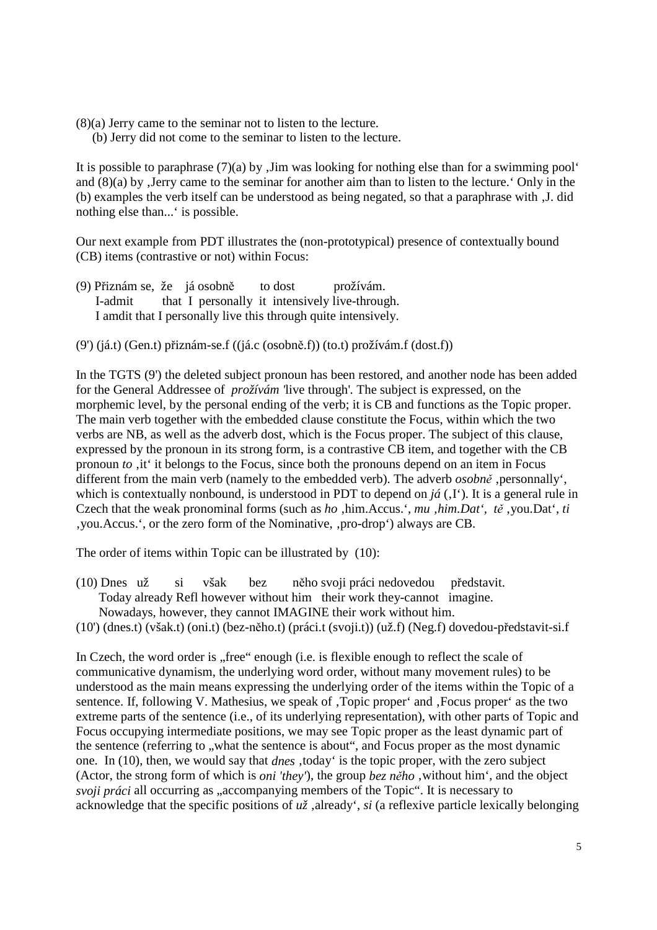(8)(a) Jerry came to the seminar not to listen to the lecture.

(b) Jerry did not come to the seminar to listen to the lecture.

It is possible to paraphrase  $(7)(a)$  by  $\overline{A}$  Jim was looking for nothing else than for a swimming pool and  $(8)(a)$  by Jerry came to the seminar for another aim than to listen to the lecture. Only in the (b) examples the verb itself can be understood as being negated, so that a paraphrase with  $J$ . did nothing else than...' is possible.

Our next example from PDT illustrates the (non-prototypical) presence of contextually bound (CB) items (contrastive or not) within Focus:

(9) Přiznám se, že já osobně to dost prožívám. I-admit that I personally it intensively live-through. I amdit that I personally live this through quite intensively.

(9') (já.t) (Gen.t) přiznám-se.f ((já.c (osobně.f)) (to.t) prožívám.f (dost.f))

In the TGTS (9') the deleted subject pronoun has been restored, and another node has been added for the General Addressee of *prožívám '*live through'*.* The subject is expressed, on the morphemic level, by the personal ending of the verb; it is CB and functions as the Topic proper. The main verb together with the embedded clause constitute the Focus, within which the two verbs are NB, as well as the adverb dost, which is the Focus proper. The subject of this clause, expressed by the pronoun in its strong form, is a contrastive CB item, and together with the CB pronoun *to* , it' it belongs to the Focus, since both the pronouns depend on an item in Focus different from the main verb (namely to the embedded verb). The adverb *osobně*, personnally', which is contextually nonbound, is understood in PDT to depend on  $j\acute{a}$  (, I<sup>e</sup>). It is a general rule in Czech that the weak pronominal forms (such as *ho*, him.Accus.', *mu*, him.Dat', *tě*, you.Dat', *ti* , you. Accus.', or the zero form of the Nominative, , pro-drop') always are CB.

The order of items within Topic can be illustrated by (10):

- (10) Dnes už si však bez něho svoji práci nedovedou představit. Today already Refl however without him their work they-cannot imagine. Nowadays, however, they cannot IMAGINE their work without him.
- (10') (dnes.t) (však.t) (oni.t) (bez-něho.t) (práci.t (svoji.t)) (už.f) (Neg.f) dovedou-představit-si.f

In Czech, the word order is "free" enough (i.e. is flexible enough to reflect the scale of communicative dynamism, the underlying word order, without many movement rules) to be understood as the main means expressing the underlying order of the items within the Topic of a sentence. If, following V. Mathesius, we speak of , Topic proper' and , Focus proper' as the two extreme parts of the sentence (i.e., of its underlying representation), with other parts of Topic and Focus occupying intermediate positions, we may see Topic proper as the least dynamic part of the sentence (referring to , what the sentence is about", and Focus proper as the most dynamic one. In (10), then, we would say that *dnes*, today' is the topic proper, with the zero subject (Actor, the strong form of which is *oni 'they'*), the group *bez něho*, without him<sup>'</sup>, and the object *svoji práci* all occurring as "accompanying members of the Topic". It is necessary to acknowledge that the specific positions of  $u\zeta$ , already', *si* (a reflexive particle lexically belonging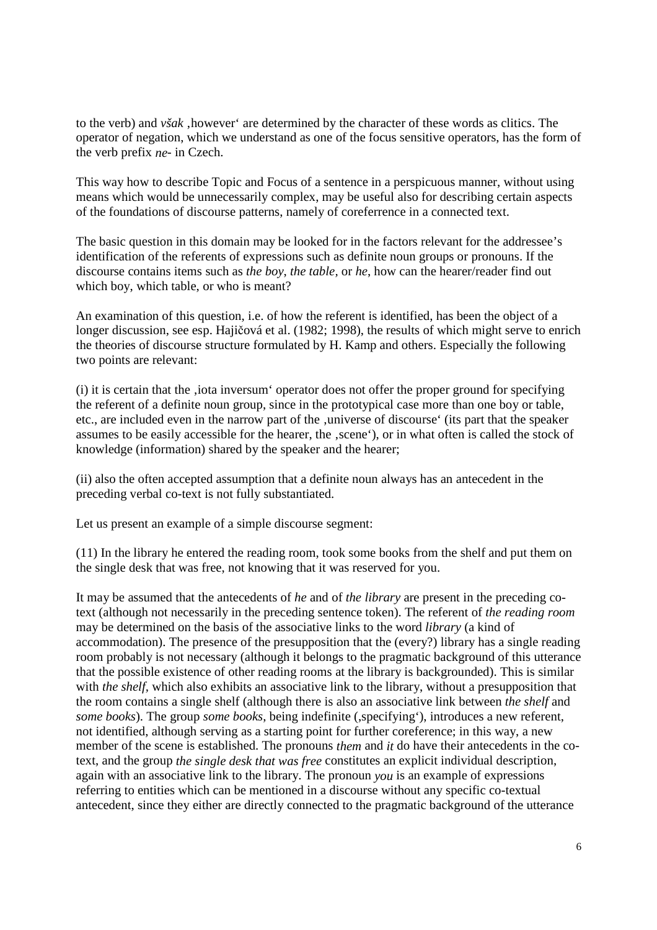to the verb) and *však*, however' are determined by the character of these words as clitics. The operator of negation, which we understand as one of the focus sensitive operators, has the form of the verb prefix *ne*- in Czech.

This way how to describe Topic and Focus of a sentence in a perspicuous manner, without using means which would be unnecessarily complex, may be useful also for describing certain aspects of the foundations of discourse patterns, namely of coreferrence in a connected text.

The basic question in this domain may be looked for in the factors relevant for the addressee's identification of the referents of expressions such as definite noun groups or pronouns. If the discourse contains items such as *the boy*, *the table,* or *he*, how can the hearer/reader find out which boy, which table, or who is meant?

An examination of this question, i.e. of how the referent is identified, has been the object of a longer discussion, see esp. Hajičová et al. (1982; 1998), the results of which might serve to enrich the theories of discourse structure formulated by H. Kamp and others. Especially the following two points are relevant:

(i) it is certain that the 'iota inversum' operator does not offer the proper ground for specifying the referent of a definite noun group, since in the prototypical case more than one boy or table, etc., are included even in the narrow part of the , universe of discourse' (its part that the speaker assumes to be easily accessible for the hearer, the , scene'), or in what often is called the stock of knowledge (information) shared by the speaker and the hearer;

(ii) also the often accepted assumption that a definite noun always has an antecedent in the preceding verbal co-text is not fully substantiated.

Let us present an example of a simple discourse segment:

(11) In the library he entered the reading room, took some books from the shelf and put them on the single desk that was free, not knowing that it was reserved for you.

It may be assumed that the antecedents of *he* and of *the library* are present in the preceding cotext (although not necessarily in the preceding sentence token). The referent of *the reading room* may be determined on the basis of the associative links to the word *library* (a kind of accommodation). The presence of the presupposition that the (every?) library has a single reading room probably is not necessary (although it belongs to the pragmatic background of this utterance that the possible existence of other reading rooms at the library is backgrounded). This is similar with *the shelf*, which also exhibits an associative link to the library, without a presupposition that the room contains a single shelf (although there is also an associative link between *the shelf* and *some books*). The group *some books*, being indefinite (,specifying'), introduces a new referent, not identified, although serving as a starting point for further coreference; in this way, a new member of the scene is established. The pronouns *them* and *it* do have their antecedents in the cotext, and the group *the single desk that was free* constitutes an explicit individual description, again with an associative link to the library. The pronoun *you* is an example of expressions referring to entities which can be mentioned in a discourse without any specific co-textual antecedent, since they either are directly connected to the pragmatic background of the utterance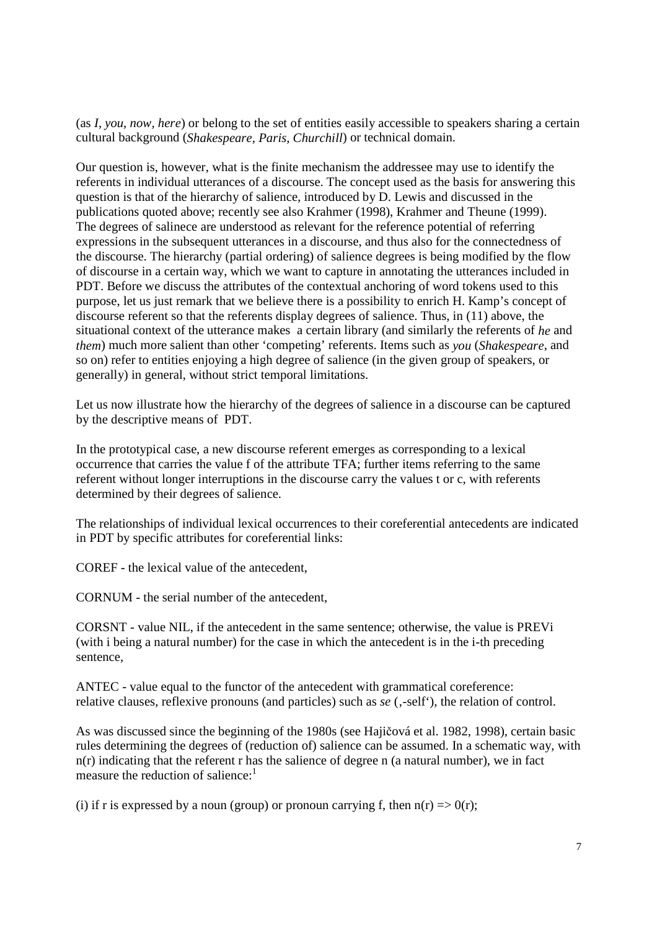(as *I, you, now, here*) or belong to the set of entities easily accessible to speakers sharing a certain cultural background (*Shakespeare, Paris, Churchill*) or technical domain.

Our question is, however, what is the finite mechanism the addressee may use to identify the referents in individual utterances of a discourse. The concept used as the basis for answering this question is that of the hierarchy of salience, introduced by D. Lewis and discussed in the publications quoted above; recently see also Krahmer (1998), Krahmer and Theune (1999). The degrees of salinece are understood as relevant for the reference potential of referring expressions in the subsequent utterances in a discourse, and thus also for the connectedness of the discourse. The hierarchy (partial ordering) of salience degrees is being modified by the flow of discourse in a certain way, which we want to capture in annotating the utterances included in PDT. Before we discuss the attributes of the contextual anchoring of word tokens used to this purpose, let us just remark that we believe there is a possibility to enrich H. Kamp's concept of discourse referent so that the referents display degrees of salience. Thus, in (11) above, the situational context of the utterance makes a certain library (and similarly the referents of *he* and *them*) much more salient than other 'competing' referents. Items such as *you* (*Shakespeare*, and so on) refer to entities enjoying a high degree of salience (in the given group of speakers, or generally) in general, without strict temporal limitations.

Let us now illustrate how the hierarchy of the degrees of salience in a discourse can be captured by the descriptive means of PDT.

In the prototypical case, a new discourse referent emerges as corresponding to a lexical occurrence that carries the value f of the attribute TFA; further items referring to the same referent without longer interruptions in the discourse carry the values t or c, with referents determined by their degrees of salience.

The relationships of individual lexical occurrences to their coreferential antecedents are indicated in PDT by specific attributes for coreferential links:

COREF - the lexical value of the antecedent,

CORNUM - the serial number of the antecedent,

CORSNT - value NIL, if the antecedent in the same sentence; otherwise, the value is PREVi (with i being a natural number) for the case in which the antecedent is in the i-th preceding sentence,

ANTEC - value equal to the functor of the antecedent with grammatical coreference: relative clauses, reflexive pronouns (and particles) such as *se* (,-self<sup>\*</sup>), the relation of control.

As was discussed since the beginning of the 1980s (see Hajičová et al. 1982, 1998), certain basic rules determining the degrees of (reduction of) salience can be assumed. In a schematic way, with n(r) indicating that the referent r has the salience of degree n (a natural number), we in fact measure the reduction of salience:<sup>1</sup>

(i) if r is expressed by a noun (group) or pronoun carrying f, then  $n(r) \Rightarrow O(r)$ ;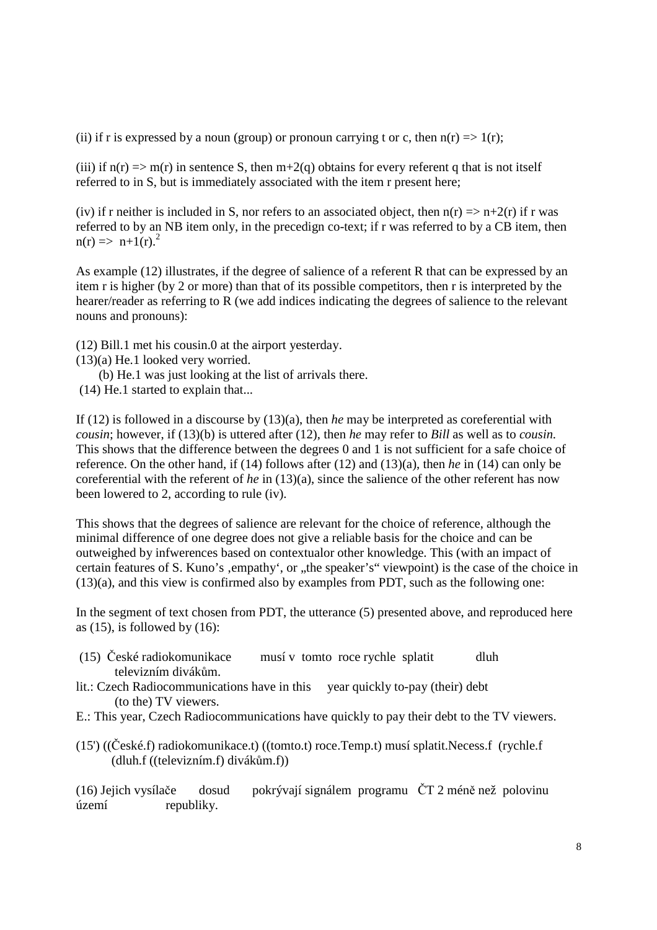(ii) if r is expressed by a noun (group) or pronoun carrying t or c, then  $n(r) \Rightarrow 1(r)$ ;

(iii) if  $n(r) \Rightarrow m(r)$  in sentence S, then  $m+2(q)$  obtains for every referent q that is not itself referred to in S, but is immediately associated with the item r present here;

(iv) if r neither is included in S, nor refers to an associated object, then  $n(r) \Rightarrow n+2(r)$  if r was referred to by an NB item only, in the precedign co-text; if r was referred to by a CB item, then  $n(r) \implies n+1(r).^{2}$ 

As example (12) illustrates, if the degree of salience of a referent R that can be expressed by an item r is higher (by 2 or more) than that of its possible competitors, then r is interpreted by the hearer/reader as referring to R (we add indices indicating the degrees of salience to the relevant nouns and pronouns):

(12) Bill.1 met his cousin.0 at the airport yesterday.

(13)(a) He.1 looked very worried.

(b) He.1 was just looking at the list of arrivals there.

(14) He.1 started to explain that...

If (12) is followed in a discourse by (13)(a), then *he* may be interpreted as coreferential with *cousin*; however, if (13)(b) is uttered after (12), then *he* may refer to *Bill* as well as to *cousin.*  This shows that the difference between the degrees 0 and 1 is not sufficient for a safe choice of reference. On the other hand, if (14) follows after (12) and (13)(a), then *he* in (14) can only be coreferential with the referent of *he* in (13)(a), since the salience of the other referent has now been lowered to 2, according to rule (iv).

This shows that the degrees of salience are relevant for the choice of reference, although the minimal difference of one degree does not give a reliable basis for the choice and can be outweighed by infwerences based on contextualor other knowledge. This (with an impact of certain features of S. Kuno's , empathy', or , the speaker's" viewpoint) is the case of the choice in (13)(a), and this view is confirmed also by examples from PDT, such as the following one:

In the segment of text chosen from PDT, the utterance (5) presented above, and reproduced here as  $(15)$ , is followed by  $(16)$ :

- (15) České radiokomunikace musí v tomto roce rychle splatit dluh televizním divákům.
- lit.: Czech Radiocommunications have in this year quickly to-pay (their) debt (to the) TV viewers.
- E.: This year, Czech Radiocommunications have quickly to pay their debt to the TV viewers.
- (15') ((České.f) radiokomunikace.t) ((tomto.t) roce.Temp.t) musí splatit.Necess.f (rychle.f (dluh.f ((televizním.f) divákům.f))

(16) Jejich vysílače dosud pokrývají signálem programu ČT 2 méně než polovinu území republiky.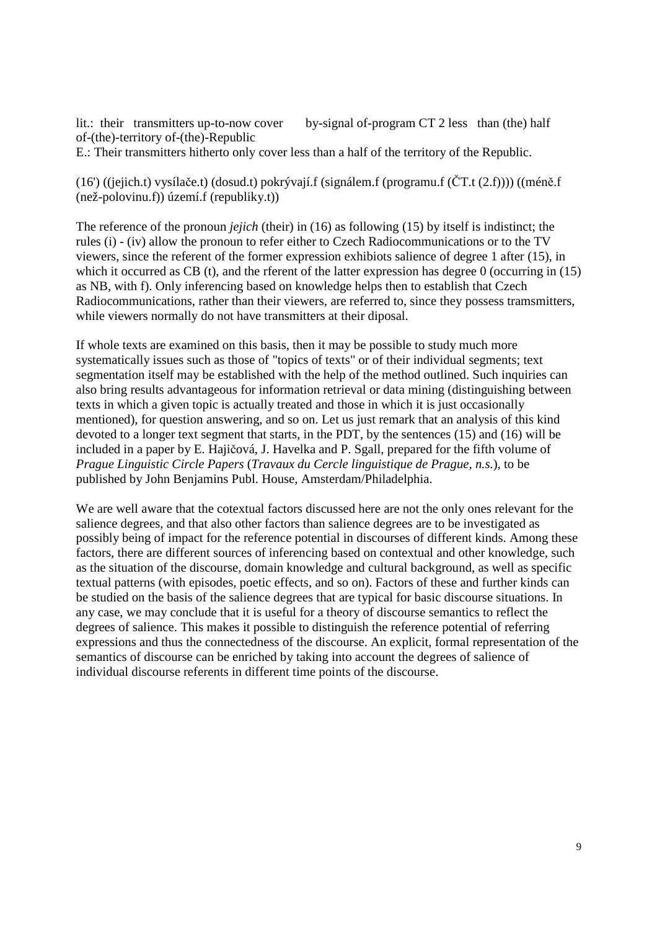lit.: their transmitters up-to-now cover by-signal of-program CT 2 less than (the) half of-(the)-territory of-(the)-Republic E.: Their transmitters hitherto only cover less than a half of the territory of the Republic.

(16') ((jejich.t) vysílače.t) (dosud.t) pokrývají.f (signálem.f (programu.f (ČT.t (2.f)))) ((méně.f (než-polovinu.f)) území.f (republiky.t))

The reference of the pronoun *jejich* (their) in (16) as following (15) by itself is indistinct; the rules (i) - (iv) allow the pronoun to refer either to Czech Radiocommunications or to the TV viewers, since the referent of the former expression exhibiots salience of degree 1 after (15), in which it occurred as CB (t), and the rferent of the latter expression has degree 0 (occurring in (15) as NB, with f). Only inferencing based on knowledge helps then to establish that Czech Radiocommunications, rather than their viewers, are referred to, since they possess tramsmitters, while viewers normally do not have transmitters at their diposal.

If whole texts are examined on this basis, then it may be possible to study much more systematically issues such as those of "topics of texts" or of their individual segments; text segmentation itself may be established with the help of the method outlined. Such inquiries can also bring results advantageous for information retrieval or data mining (distinguishing between texts in which a given topic is actually treated and those in which it is just occasionally mentioned), for question answering, and so on. Let us just remark that an analysis of this kind devoted to a longer text segment that starts, in the PDT, by the sentences (15) and (16) will be included in a paper by E. Hajičová, J. Havelka and P. Sgall, prepared for the fifth volume of *Prague Linguistic Circle Papers* (*Travaux du Cercle linguistique de Prague, n.s.*), to be published by John Benjamins Publ. House, Amsterdam/Philadelphia.

We are well aware that the cotextual factors discussed here are not the only ones relevant for the salience degrees, and that also other factors than salience degrees are to be investigated as possibly being of impact for the reference potential in discourses of different kinds. Among these factors, there are different sources of inferencing based on contextual and other knowledge, such as the situation of the discourse, domain knowledge and cultural background, as well as specific textual patterns (with episodes, poetic effects, and so on). Factors of these and further kinds can be studied on the basis of the salience degrees that are typical for basic discourse situations. In any case, we may conclude that it is useful for a theory of discourse semantics to reflect the degrees of salience. This makes it possible to distinguish the reference potential of referring expressions and thus the connectedness of the discourse. An explicit, formal representation of the semantics of discourse can be enriched by taking into account the degrees of salience of individual discourse referents in different time points of the discourse.